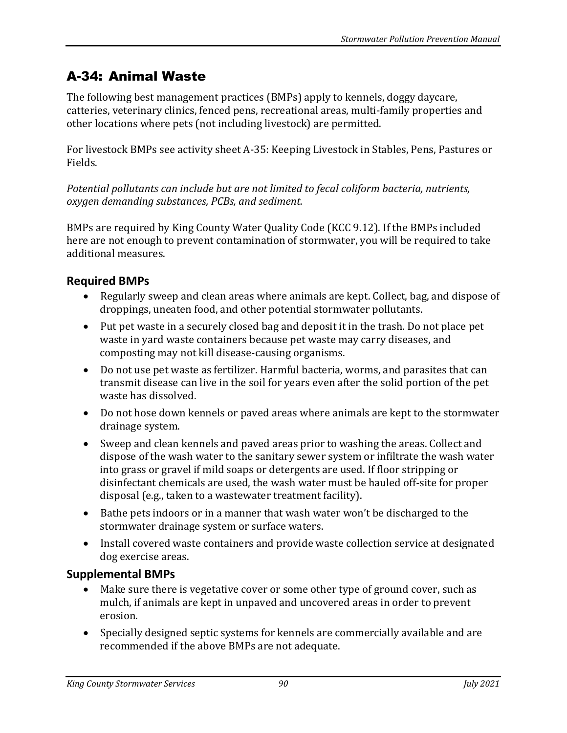# A-34: Animal Waste

The following best management practices (BMPs) apply to kennels, doggy daycare, catteries, veterinary clinics, fenced pens, recreational areas, multi-family properties and other locations where pets (not including livestock) are permitted.

For livestock BMPs see activity sheet A-35: Keeping Livestock in Stables, Pens, Pastures or Fields.

*Potential pollutants can include but are not limited to fecal coliform bacteria, nutrients, oxygen demanding substances, PCBs, and sediment.*

BMPs are required by King County Water Quality Code (KCC 9.12). If the BMPs included here are not enough to prevent contamination of stormwater, you will be required to take additional measures.

## **Required BMPs**

- Regularly sweep and clean areas where animals are kept. Collect, bag, and dispose of droppings, uneaten food, and other potential stormwater pollutants.
- Put pet waste in a securely closed bag and deposit it in the trash. Do not place pet waste in yard waste containers because pet waste may carry diseases, and composting may not kill disease-causing organisms.
- Do not use pet waste as fertilizer. Harmful bacteria, worms, and parasites that can transmit disease can live in the soil for years even after the solid portion of the pet waste has dissolved.
- Do not hose down kennels or paved areas where animals are kept to the stormwater drainage system.
- Sweep and clean kennels and paved areas prior to washing the areas. Collect and dispose of the wash water to the sanitary sewer system or infiltrate the wash water into grass or gravel if mild soaps or detergents are used. If floor stripping or disinfectant chemicals are used, the wash water must be hauled off-site for proper disposal (e.g., taken to a wastewater treatment facility).
- Bathe pets indoors or in a manner that wash water won't be discharged to the stormwater drainage system or surface waters.
- Install covered waste containers and provide waste collection service at designated dog exercise areas.

## **Supplemental BMPs**

- Make sure there is vegetative cover or some other type of ground cover, such as mulch, if animals are kept in unpaved and uncovered areas in order to prevent erosion.
- Specially designed septic systems for kennels are commercially available and are recommended if the above BMPs are not adequate.